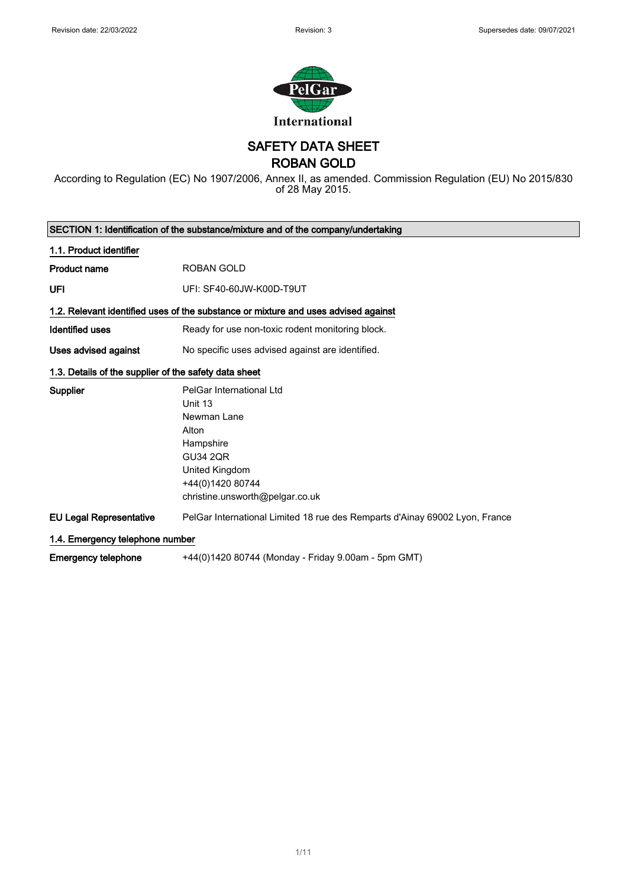

SAFETY DATA SHEET ROBAN GOLD

According to Regulation (EC) No 1907/2006, Annex II, as amended. Commission Regulation (EU) No 2015/830 of 28 May 2015.

|                                                       | SECTION 1: Identification of the substance/mixture and of the company/undertaking                                                                                    |  |
|-------------------------------------------------------|----------------------------------------------------------------------------------------------------------------------------------------------------------------------|--|
| 1.1. Product identifier                               |                                                                                                                                                                      |  |
| <b>Product name</b>                                   | ROBAN GOLD                                                                                                                                                           |  |
| UFI                                                   | UFI: SF40-60JW-K00D-T9UT                                                                                                                                             |  |
|                                                       | 1.2. Relevant identified uses of the substance or mixture and uses advised against                                                                                   |  |
| <b>Identified uses</b>                                | Ready for use non-toxic rodent monitoring block.                                                                                                                     |  |
| Uses advised against                                  | No specific uses advised against are identified.                                                                                                                     |  |
| 1.3. Details of the supplier of the safety data sheet |                                                                                                                                                                      |  |
| <b>Supplier</b>                                       | PelGar International Ltd<br>Unit 13<br>Newman Lane<br>Alton<br>Hampshire<br><b>GU34 2QR</b><br>United Kingdom<br>+44(0)1420 80744<br>christine.unsworth@pelgar.co.uk |  |
| <b>EU Legal Representative</b>                        | PelGar International Limited 18 rue des Remparts d'Ainay 69002 Lyon, France                                                                                          |  |
| 1.4. Emergency telephone number                       |                                                                                                                                                                      |  |
| <b>Emergency telephone</b>                            | +44(0)1420 80744 (Monday - Friday 9.00am - 5pm GMT)                                                                                                                  |  |

1/ 11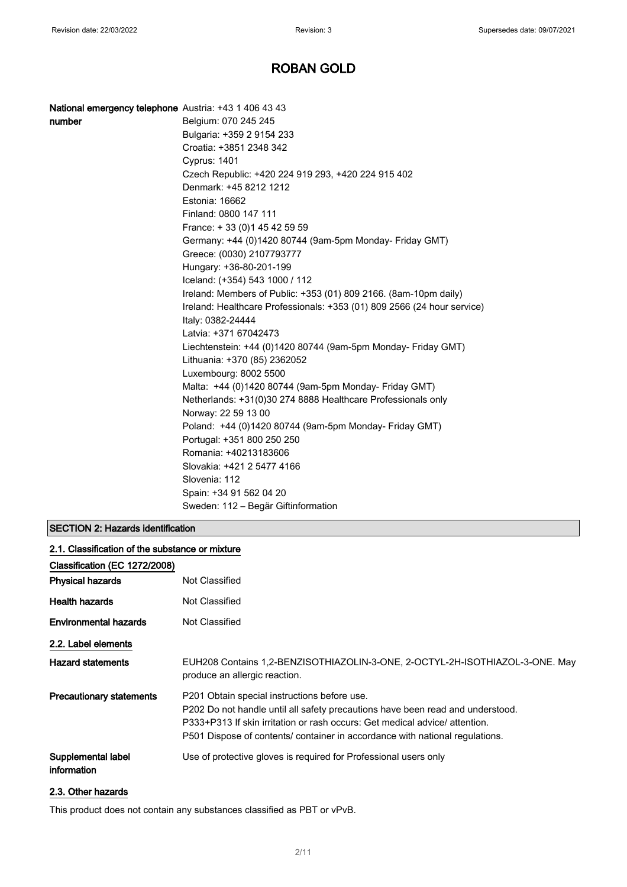| National emergency telephone Austria: +43 1 406 43 43 |                                                                         |
|-------------------------------------------------------|-------------------------------------------------------------------------|
| number                                                | Belgium: 070 245 245                                                    |
|                                                       | Bulgaria: +359 2 9154 233                                               |
|                                                       | Croatia: +3851 2348 342                                                 |
|                                                       | Cyprus: 1401                                                            |
|                                                       | Czech Republic: +420 224 919 293, +420 224 915 402                      |
|                                                       | Denmark: +45 8212 1212                                                  |
|                                                       | Estonia: 16662                                                          |
|                                                       | Finland: 0800 147 111                                                   |
|                                                       | France: +33 (0) 145 42 59 59                                            |
|                                                       | Germany: +44 (0)1420 80744 (9am-5pm Monday- Friday GMT)                 |
|                                                       | Greece: (0030) 2107793777                                               |
|                                                       | Hungary: +36-80-201-199                                                 |
|                                                       | Iceland: (+354) 543 1000 / 112                                          |
|                                                       | Ireland: Members of Public: +353 (01) 809 2166. (8am-10pm daily)        |
|                                                       | Ireland: Healthcare Professionals: +353 (01) 809 2566 (24 hour service) |
|                                                       | Italy: 0382-24444                                                       |
|                                                       | Latvia: +371 67042473                                                   |
|                                                       | Liechtenstein: +44 (0)1420 80744 (9am-5pm Monday- Friday GMT)           |
|                                                       | Lithuania: +370 (85) 2362052                                            |
|                                                       | Luxembourg: 8002 5500                                                   |
|                                                       | Malta: +44 (0)1420 80744 (9am-5pm Monday- Friday GMT)                   |
|                                                       | Netherlands: +31(0)30 274 8888 Healthcare Professionals only            |
|                                                       | Norway: 22 59 13 00                                                     |
|                                                       | Poland: +44 (0)1420 80744 (9am-5pm Monday- Friday GMT)                  |
|                                                       | Portugal: +351 800 250 250                                              |
|                                                       | Romania: +40213183606                                                   |
|                                                       | Slovakia: +421 2 5477 4166                                              |
|                                                       | Slovenia: 112                                                           |
|                                                       | Spain: +34 91 562 04 20                                                 |
|                                                       | Sweden: 112 – Begär Giftinformation                                     |

## SECTION 2: Hazards identification

| 2.1. Classification of the substance or mixture |                                                                                                                                                                                                                                                                                              |
|-------------------------------------------------|----------------------------------------------------------------------------------------------------------------------------------------------------------------------------------------------------------------------------------------------------------------------------------------------|
| Classification (EC 1272/2008)                   |                                                                                                                                                                                                                                                                                              |
| <b>Physical hazards</b>                         | Not Classified                                                                                                                                                                                                                                                                               |
| <b>Health hazards</b>                           | Not Classified                                                                                                                                                                                                                                                                               |
| <b>Environmental hazards</b>                    | Not Classified                                                                                                                                                                                                                                                                               |
| 2.2. Label elements                             |                                                                                                                                                                                                                                                                                              |
| <b>Hazard statements</b>                        | EUH208 Contains 1.2-BENZISOTHIAZOLIN-3-ONE, 2-OCTYL-2H-ISOTHIAZOL-3-ONE. May<br>produce an allergic reaction.                                                                                                                                                                                |
| <b>Precautionary statements</b>                 | P201 Obtain special instructions before use.<br>P202 Do not handle until all safety precautions have been read and understood.<br>P333+P313 If skin irritation or rash occurs: Get medical advice/attention.<br>P501 Dispose of contents/ container in accordance with national regulations. |
| Supplemental label<br>information               | Use of protective gloves is required for Professional users only                                                                                                                                                                                                                             |

## 2.3. Other hazards

This product does not contain any substances classified as PBT or vPvB.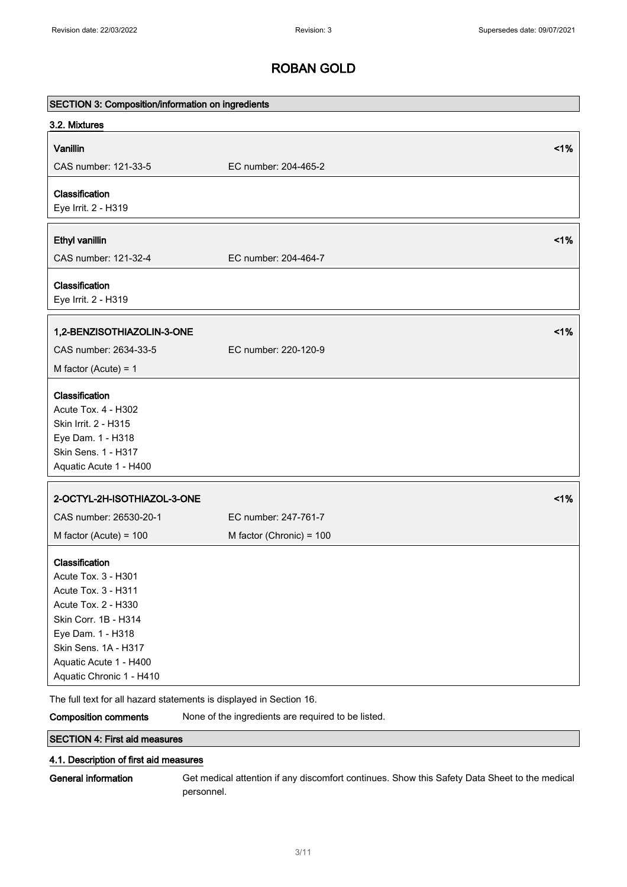| SECTION 3: Composition/information on ingredients                   |                                                    |
|---------------------------------------------------------------------|----------------------------------------------------|
| 3.2. Mixtures                                                       |                                                    |
| Vanillin                                                            | 1%                                                 |
| CAS number: 121-33-5                                                | EC number: 204-465-2                               |
|                                                                     |                                                    |
| Classification                                                      |                                                    |
| Eye Irrit. 2 - H319                                                 |                                                    |
|                                                                     |                                                    |
| <b>Ethyl vanillin</b>                                               | 1%                                                 |
| CAS number: 121-32-4                                                | EC number: 204-464-7                               |
| Classification                                                      |                                                    |
| Eye Irrit. 2 - H319                                                 |                                                    |
|                                                                     |                                                    |
| 1,2-BENZISOTHIAZOLIN-3-ONE                                          | 1%                                                 |
| CAS number: 2634-33-5                                               | EC number: 220-120-9                               |
| M factor (Acute) = $1$                                              |                                                    |
| Classification                                                      |                                                    |
| Acute Tox. 4 - H302                                                 |                                                    |
| Skin Irrit. 2 - H315                                                |                                                    |
| Eye Dam. 1 - H318                                                   |                                                    |
| Skin Sens. 1 - H317                                                 |                                                    |
| Aquatic Acute 1 - H400                                              |                                                    |
|                                                                     |                                                    |
| 2-OCTYL-2H-ISOTHIAZOL-3-ONE                                         | 1%                                                 |
| CAS number: 26530-20-1                                              | EC number: 247-761-7                               |
| M factor (Acute) = $100$                                            | M factor (Chronic) = 100                           |
| Classification                                                      |                                                    |
| Acute Tox. 3 - H301                                                 |                                                    |
| Acute Tox. 3 - H311                                                 |                                                    |
| Acute Tox. 2 - H330                                                 |                                                    |
| Skin Corr. 1B - H314                                                |                                                    |
| Eye Dam. 1 - H318                                                   |                                                    |
| Skin Sens. 1A - H317                                                |                                                    |
| Aquatic Acute 1 - H400                                              |                                                    |
| Aquatic Chronic 1 - H410                                            |                                                    |
| The full text for all hazard statements is displayed in Section 16. |                                                    |
| <b>Composition comments</b>                                         | None of the ingredients are required to be listed. |

SECTION 4: First aid measures

### 4.1. Description of first aid measures

General information Get medical attention if any discomfort continues. Show this Safety Data Sheet to the medical personnel.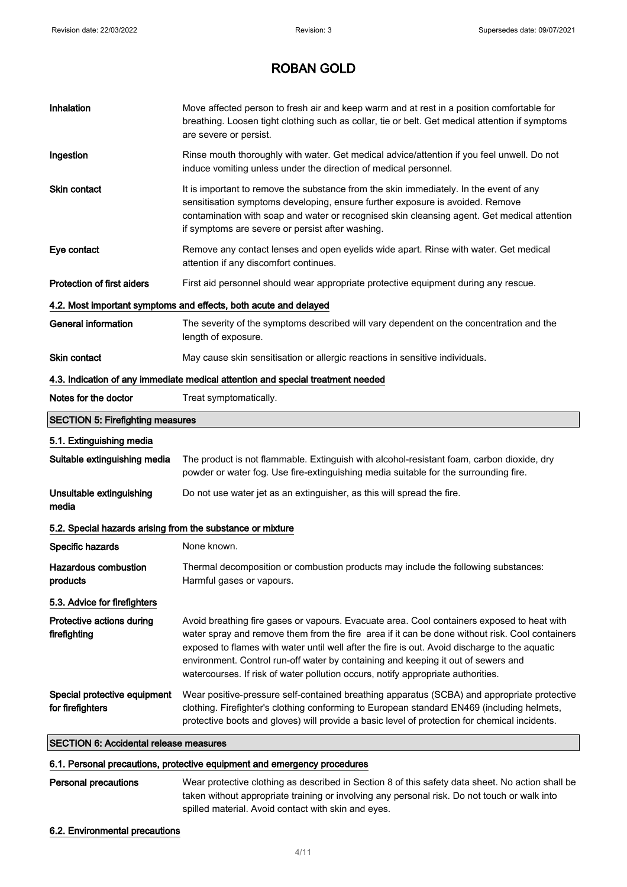| Inhalation                                                 | Move affected person to fresh air and keep warm and at rest in a position comfortable for<br>breathing. Loosen tight clothing such as collar, tie or belt. Get medical attention if symptoms<br>are severe or persist.                                                                                                                                                                                                                                                 |
|------------------------------------------------------------|------------------------------------------------------------------------------------------------------------------------------------------------------------------------------------------------------------------------------------------------------------------------------------------------------------------------------------------------------------------------------------------------------------------------------------------------------------------------|
| Ingestion                                                  | Rinse mouth thoroughly with water. Get medical advice/attention if you feel unwell. Do not<br>induce vomiting unless under the direction of medical personnel.                                                                                                                                                                                                                                                                                                         |
| <b>Skin contact</b>                                        | It is important to remove the substance from the skin immediately. In the event of any<br>sensitisation symptoms developing, ensure further exposure is avoided. Remove<br>contamination with soap and water or recognised skin cleansing agent. Get medical attention<br>if symptoms are severe or persist after washing.                                                                                                                                             |
| Eye contact                                                | Remove any contact lenses and open eyelids wide apart. Rinse with water. Get medical<br>attention if any discomfort continues.                                                                                                                                                                                                                                                                                                                                         |
| <b>Protection of first aiders</b>                          | First aid personnel should wear appropriate protective equipment during any rescue.                                                                                                                                                                                                                                                                                                                                                                                    |
|                                                            | 4.2. Most important symptoms and effects, both acute and delayed                                                                                                                                                                                                                                                                                                                                                                                                       |
| <b>General information</b>                                 | The severity of the symptoms described will vary dependent on the concentration and the<br>length of exposure.                                                                                                                                                                                                                                                                                                                                                         |
| Skin contact                                               | May cause skin sensitisation or allergic reactions in sensitive individuals.                                                                                                                                                                                                                                                                                                                                                                                           |
|                                                            | 4.3. Indication of any immediate medical attention and special treatment needed                                                                                                                                                                                                                                                                                                                                                                                        |
| Notes for the doctor                                       | Treat symptomatically.                                                                                                                                                                                                                                                                                                                                                                                                                                                 |
| <b>SECTION 5: Firefighting measures</b>                    |                                                                                                                                                                                                                                                                                                                                                                                                                                                                        |
| 5.1. Extinguishing media                                   |                                                                                                                                                                                                                                                                                                                                                                                                                                                                        |
| Suitable extinguishing media                               | The product is not flammable. Extinguish with alcohol-resistant foam, carbon dioxide, dry<br>powder or water fog. Use fire-extinguishing media suitable for the surrounding fire.                                                                                                                                                                                                                                                                                      |
| Unsuitable extinguishing<br>media                          | Do not use water jet as an extinguisher, as this will spread the fire.                                                                                                                                                                                                                                                                                                                                                                                                 |
| 5.2. Special hazards arising from the substance or mixture |                                                                                                                                                                                                                                                                                                                                                                                                                                                                        |
| Specific hazards                                           | None known.                                                                                                                                                                                                                                                                                                                                                                                                                                                            |
| Hazardous combustion<br>products                           | Thermal decomposition or combustion products may include the following substances:<br>Harmful gases or vapours.                                                                                                                                                                                                                                                                                                                                                        |
| 5.3. Advice for firefighters                               |                                                                                                                                                                                                                                                                                                                                                                                                                                                                        |
| Protective actions during<br>firefighting                  | Avoid breathing fire gases or vapours. Evacuate area. Cool containers exposed to heat with<br>water spray and remove them from the fire area if it can be done without risk. Cool containers<br>exposed to flames with water until well after the fire is out. Avoid discharge to the aquatic<br>environment. Control run-off water by containing and keeping it out of sewers and<br>watercourses. If risk of water pollution occurs, notify appropriate authorities. |
| Special protective equipment<br>for firefighters           | Wear positive-pressure self-contained breathing apparatus (SCBA) and appropriate protective<br>clothing. Firefighter's clothing conforming to European standard EN469 (including helmets,<br>protective boots and gloves) will provide a basic level of protection for chemical incidents.                                                                                                                                                                             |
| <b>SECTION 6: Accidental release measures</b>              |                                                                                                                                                                                                                                                                                                                                                                                                                                                                        |

## 6.1. Personal precautions, protective equipment and emergency procedures

Personal precautions Wear protective clothing as described in Section 8 of this safety data sheet. No action shall be taken without appropriate training or involving any personal risk. Do not touch or walk into spilled material. Avoid contact with skin and eyes.

### 6.2. Environmental precautions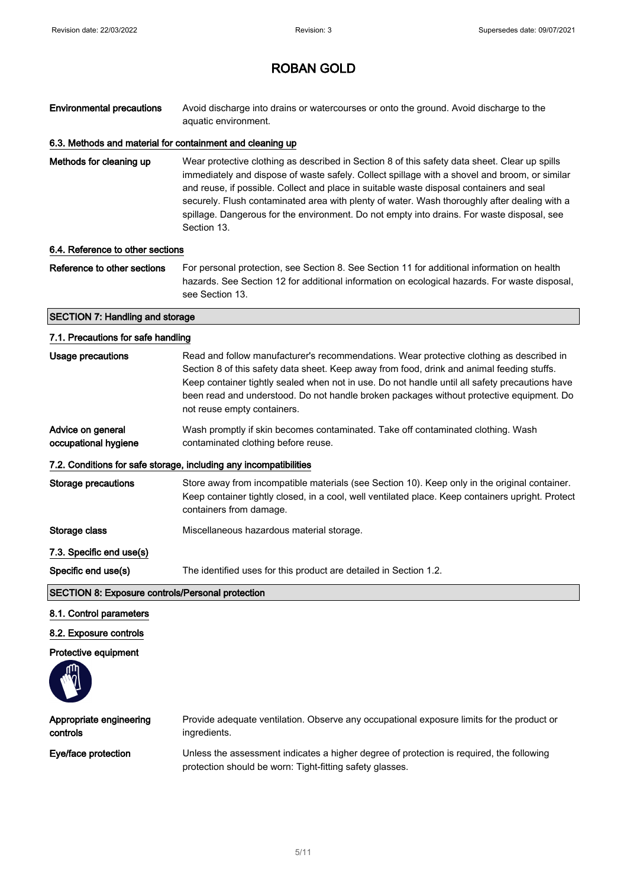| <b>Environmental precautions</b> | Avoid discharge into drains or watercourses or onto the ground. Avoid discharge to the |  |
|----------------------------------|----------------------------------------------------------------------------------------|--|
|                                  | aquatic environment.                                                                   |  |

### 6.3. Methods and material for containment and cleaning up

Methods for cleaning up Wear protective clothing as described in Section 8 of this safety data sheet. Clear up spills immediately and dispose of waste safely. Collect spillage with a shovel and broom, or similar and reuse, if possible. Collect and place in suitable waste disposal containers and seal securely. Flush contaminated area with plenty of water. Wash thoroughly after dealing with a spillage. Dangerous for the environment. Do not empty into drains. For waste disposal, see Section 13.

### 6.4. Reference to other sections

Reference to other sections For personal protection, see Section 8. See Section 11 for additional information on health hazards. See Section 12 for additional information on ecological hazards. For waste disposal, see Section 13.

### SECTION 7: Handling and storage

#### 7.1. Precautions for safe handling

| Usage precautions                                                 | Read and follow manufacturer's recommendations. Wear protective clothing as described in<br>Section 8 of this safety data sheet. Keep away from food, drink and animal feeding stuffs.<br>Keep container tightly sealed when not in use. Do not handle until all safety precautions have<br>been read and understood. Do not handle broken packages without protective equipment. Do<br>not reuse empty containers. |  |
|-------------------------------------------------------------------|---------------------------------------------------------------------------------------------------------------------------------------------------------------------------------------------------------------------------------------------------------------------------------------------------------------------------------------------------------------------------------------------------------------------|--|
| Advice on general<br>occupational hygiene                         | Wash promptly if skin becomes contaminated. Take off contaminated clothing. Wash<br>contaminated clothing before reuse.                                                                                                                                                                                                                                                                                             |  |
| 7.2. Conditions for safe storage, including any incompatibilities |                                                                                                                                                                                                                                                                                                                                                                                                                     |  |
| Storage precautions                                               | Store away from incompatible materials (see Section 10). Keep only in the original container.<br>Keep container tightly closed, in a cool, well ventilated place. Keep containers upright. Protect<br>containers from damage.                                                                                                                                                                                       |  |
| Storage class                                                     | Miscellaneous hazardous material storage.                                                                                                                                                                                                                                                                                                                                                                           |  |
| 7.3. Specific end use(s)                                          |                                                                                                                                                                                                                                                                                                                                                                                                                     |  |
| Specific end use(s)                                               | The identified uses for this product are detailed in Section 1.2.                                                                                                                                                                                                                                                                                                                                                   |  |
| <b>SECTION 8: Exposure controls/Personal protection</b>           |                                                                                                                                                                                                                                                                                                                                                                                                                     |  |
| 8.1. Control parameters                                           |                                                                                                                                                                                                                                                                                                                                                                                                                     |  |

8.2. Exposure controls

Protective equipment



| Appropriate engineering | Provide adequate ventilation. Observe any occupational exposure limits for the product or                                                            |
|-------------------------|------------------------------------------------------------------------------------------------------------------------------------------------------|
| controls                | ingredients.                                                                                                                                         |
| Eye/face protection     | Unless the assessment indicates a higher degree of protection is required, the following<br>protection should be worn: Tight-fitting safety glasses. |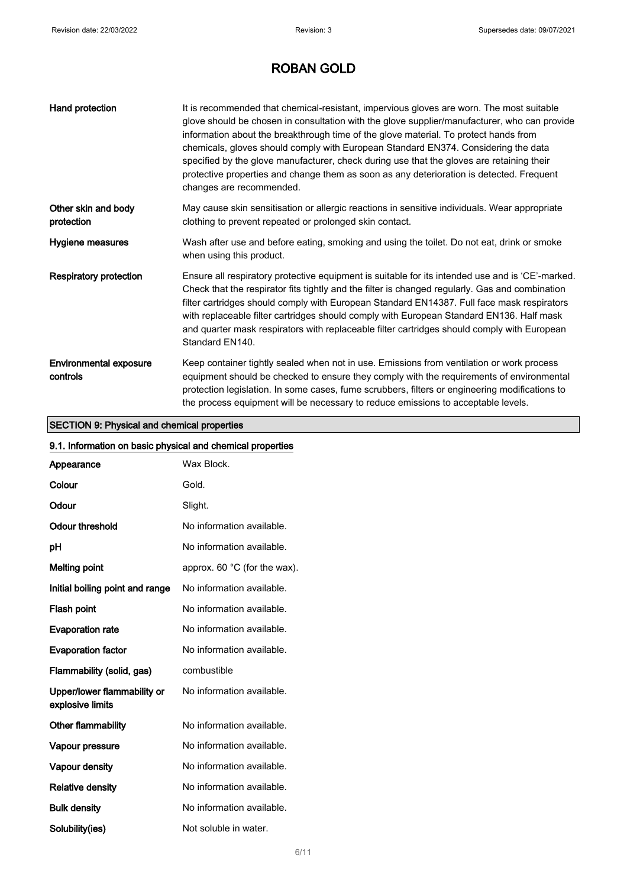| Hand protection                           | It is recommended that chemical-resistant, impervious gloves are worn. The most suitable<br>glove should be chosen in consultation with the glove supplier/manufacturer, who can provide<br>information about the breakthrough time of the glove material. To protect hands from<br>chemicals, gloves should comply with European Standard EN374. Considering the data<br>specified by the glove manufacturer, check during use that the gloves are retaining their<br>protective properties and change them as soon as any deterioration is detected. Frequent<br>changes are recommended. |
|-------------------------------------------|---------------------------------------------------------------------------------------------------------------------------------------------------------------------------------------------------------------------------------------------------------------------------------------------------------------------------------------------------------------------------------------------------------------------------------------------------------------------------------------------------------------------------------------------------------------------------------------------|
| Other skin and body<br>protection         | May cause skin sensitisation or allergic reactions in sensitive individuals. Wear appropriate<br>clothing to prevent repeated or prolonged skin contact.                                                                                                                                                                                                                                                                                                                                                                                                                                    |
| Hygiene measures                          | Wash after use and before eating, smoking and using the toilet. Do not eat, drink or smoke<br>when using this product.                                                                                                                                                                                                                                                                                                                                                                                                                                                                      |
| Respiratory protection                    | Ensure all respiratory protective equipment is suitable for its intended use and is 'CE'-marked.<br>Check that the respirator fits tightly and the filter is changed regularly. Gas and combination<br>filter cartridges should comply with European Standard EN14387. Full face mask respirators<br>with replaceable filter cartridges should comply with European Standard EN136. Half mask<br>and quarter mask respirators with replaceable filter cartridges should comply with European<br>Standard EN140.                                                                             |
| <b>Environmental exposure</b><br>controls | Keep container tightly sealed when not in use. Emissions from ventilation or work process<br>equipment should be checked to ensure they comply with the requirements of environmental<br>protection legislation. In some cases, fume scrubbers, filters or engineering modifications to<br>the process equipment will be necessary to reduce emissions to acceptable levels.                                                                                                                                                                                                                |

## SECTION 9: Physical and chemical properties

| 9.1. Information on basic physical and chemical properties |                                        |
|------------------------------------------------------------|----------------------------------------|
| Appearance                                                 | Wax Block.                             |
| Colour                                                     | Gold.                                  |
| Odour                                                      | Slight.                                |
| Odour threshold                                            | No information available.              |
| рH                                                         | No information available.              |
| <b>Melting point</b>                                       | approx. 60 $^{\circ}$ C (for the wax). |
| Initial boiling point and range                            | No information available.              |
| Flash point                                                | No information available.              |
| <b>Evaporation rate</b>                                    | No information available.              |
| <b>Evaporation factor</b>                                  | No information available.              |
| Flammability (solid, gas)                                  | combustible                            |
| Upper/lower flammability or<br>explosive limits            | No information available.              |
| Other flammability                                         | No information available.              |
| Vapour pressure                                            | No information available.              |
| Vapour density                                             | No information available.              |
| <b>Relative density</b>                                    | No information available.              |
| <b>Bulk density</b>                                        | No information available.              |
| Solubility(ies)                                            | Not soluble in water.                  |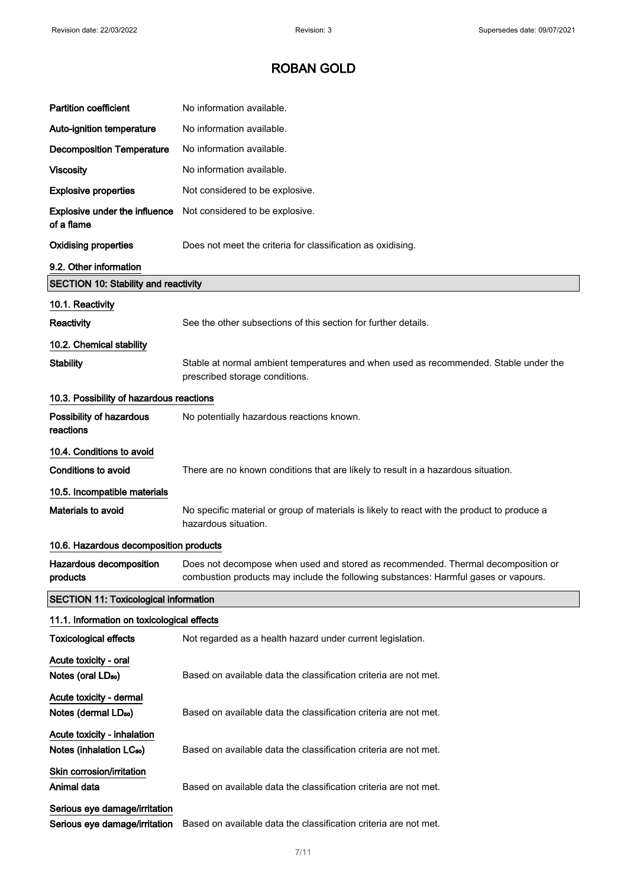| <b>Partition coefficient</b>                                        | No information available.                                                                                                                                               |  |
|---------------------------------------------------------------------|-------------------------------------------------------------------------------------------------------------------------------------------------------------------------|--|
| Auto-ignition temperature                                           | No information available.                                                                                                                                               |  |
| <b>Decomposition Temperature</b>                                    | No information available.                                                                                                                                               |  |
| <b>Viscosity</b>                                                    | No information available.                                                                                                                                               |  |
| <b>Explosive properties</b>                                         | Not considered to be explosive.                                                                                                                                         |  |
| <b>Explosive under the influence</b><br>of a flame                  | Not considered to be explosive.                                                                                                                                         |  |
| <b>Oxidising properties</b>                                         | Does not meet the criteria for classification as oxidising.                                                                                                             |  |
| 9.2. Other information                                              |                                                                                                                                                                         |  |
| <b>SECTION 10: Stability and reactivity</b>                         |                                                                                                                                                                         |  |
| 10.1. Reactivity                                                    |                                                                                                                                                                         |  |
| Reactivity                                                          | See the other subsections of this section for further details.                                                                                                          |  |
| 10.2. Chemical stability                                            |                                                                                                                                                                         |  |
| <b>Stability</b>                                                    | Stable at normal ambient temperatures and when used as recommended. Stable under the<br>prescribed storage conditions.                                                  |  |
| 10.3. Possibility of hazardous reactions                            |                                                                                                                                                                         |  |
| Possibility of hazardous<br>reactions                               | No potentially hazardous reactions known.                                                                                                                               |  |
| 10.4. Conditions to avoid                                           |                                                                                                                                                                         |  |
| Conditions to avoid                                                 | There are no known conditions that are likely to result in a hazardous situation.                                                                                       |  |
| 10.5. Incompatible materials                                        |                                                                                                                                                                         |  |
| <b>Materials to avoid</b>                                           | No specific material or group of materials is likely to react with the product to produce a<br>hazardous situation.                                                     |  |
| 10.6. Hazardous decomposition products                              |                                                                                                                                                                         |  |
| Hazardous decomposition<br>products                                 | Does not decompose when used and stored as recommended. Thermal decomposition or<br>combustion products may include the following substances: Harmful gases or vapours. |  |
| <b>SECTION 11: Toxicological information</b>                        |                                                                                                                                                                         |  |
| 11.1. Information on toxicological effects                          |                                                                                                                                                                         |  |
| <b>Toxicological effects</b>                                        | Not regarded as a health hazard under current legislation.                                                                                                              |  |
| Acute toxicity - oral<br>Notes (oral LD <sub>50</sub> )             | Based on available data the classification criteria are not met.                                                                                                        |  |
| Acute toxicity - dermal<br>Notes (dermal LD <sub>50</sub> )         | Based on available data the classification criteria are not met.                                                                                                        |  |
| Acute toxicity - inhalation<br>Notes (inhalation LC <sub>50</sub> ) | Based on available data the classification criteria are not met.                                                                                                        |  |
| Skin corrosion/irritation<br>Animal data                            | Based on available data the classification criteria are not met.                                                                                                        |  |
| Serious eye damage/irritation<br>Serious eye damage/irritation      | Based on available data the classification criteria are not met.                                                                                                        |  |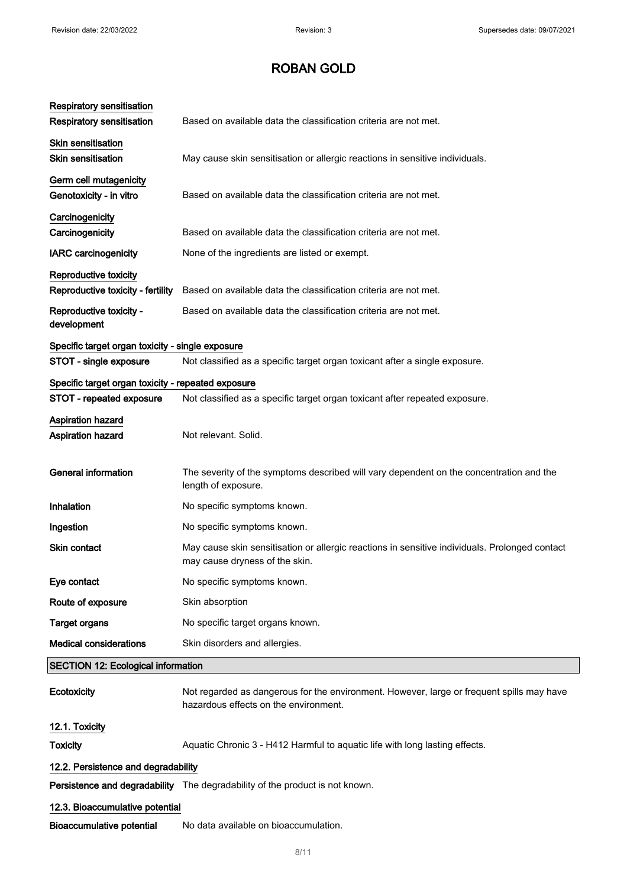| <b>Respiratory sensitisation</b>                       |                                                                                                                                    |
|--------------------------------------------------------|------------------------------------------------------------------------------------------------------------------------------------|
| <b>Respiratory sensitisation</b>                       | Based on available data the classification criteria are not met.                                                                   |
| <b>Skin sensitisation</b><br><b>Skin sensitisation</b> | May cause skin sensitisation or allergic reactions in sensitive individuals.                                                       |
| Germ cell mutagenicity<br>Genotoxicity - in vitro      | Based on available data the classification criteria are not met.                                                                   |
| Carcinogenicity<br>Carcinogenicity                     | Based on available data the classification criteria are not met.                                                                   |
| <b>IARC</b> carcinogenicity                            | None of the ingredients are listed or exempt.                                                                                      |
| Reproductive toxicity                                  |                                                                                                                                    |
| Reproductive toxicity - fertility                      | Based on available data the classification criteria are not met.                                                                   |
| Reproductive toxicity -<br>development                 | Based on available data the classification criteria are not met.                                                                   |
| Specific target organ toxicity - single exposure       |                                                                                                                                    |
| STOT - single exposure                                 | Not classified as a specific target organ toxicant after a single exposure.                                                        |
| Specific target organ toxicity - repeated exposure     |                                                                                                                                    |
| STOT - repeated exposure                               | Not classified as a specific target organ toxicant after repeated exposure.                                                        |
| <b>Aspiration hazard</b><br><b>Aspiration hazard</b>   | Not relevant. Solid.                                                                                                               |
| General information                                    | The severity of the symptoms described will vary dependent on the concentration and the<br>length of exposure.                     |
| Inhalation                                             | No specific symptoms known.                                                                                                        |
| Ingestion                                              | No specific symptoms known.                                                                                                        |
| <b>Skin contact</b>                                    | May cause skin sensitisation or allergic reactions in sensitive individuals. Prolonged contact<br>may cause dryness of the skin.   |
| Eye contact                                            | No specific symptoms known.                                                                                                        |
| Route of exposure                                      | Skin absorption                                                                                                                    |
| <b>Target organs</b>                                   | No specific target organs known.                                                                                                   |
| <b>Medical considerations</b>                          | Skin disorders and allergies.                                                                                                      |
| <b>SECTION 12: Ecological information</b>              |                                                                                                                                    |
| Ecotoxicity                                            | Not regarded as dangerous for the environment. However, large or frequent spills may have<br>hazardous effects on the environment. |
| 12.1. Toxicity                                         |                                                                                                                                    |
| <b>Toxicity</b>                                        | Aquatic Chronic 3 - H412 Harmful to aquatic life with long lasting effects.                                                        |
| 12.2. Persistence and degradability                    |                                                                                                                                    |
|                                                        | Persistence and degradability The degradability of the product is not known.                                                       |
| 12.3. Bioaccumulative potential                        |                                                                                                                                    |
| <b>Bioaccumulative potential</b>                       | No data available on bioaccumulation.                                                                                              |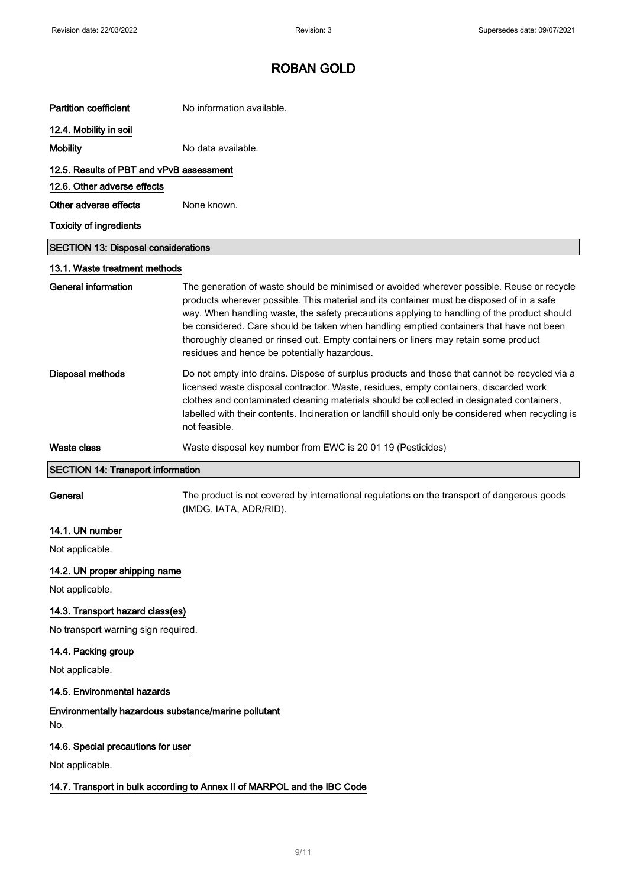| <b>Partition coefficient</b>               | No information available.                                                                                                                                                                                                                                                                                                                                                                                                                                                                                                 |
|--------------------------------------------|---------------------------------------------------------------------------------------------------------------------------------------------------------------------------------------------------------------------------------------------------------------------------------------------------------------------------------------------------------------------------------------------------------------------------------------------------------------------------------------------------------------------------|
| 12.4. Mobility in soil                     |                                                                                                                                                                                                                                                                                                                                                                                                                                                                                                                           |
| <b>Mobility</b>                            | No data available.                                                                                                                                                                                                                                                                                                                                                                                                                                                                                                        |
| 12.5. Results of PBT and vPvB assessment   |                                                                                                                                                                                                                                                                                                                                                                                                                                                                                                                           |
| 12.6. Other adverse effects                |                                                                                                                                                                                                                                                                                                                                                                                                                                                                                                                           |
| Other adverse effects                      | None known.                                                                                                                                                                                                                                                                                                                                                                                                                                                                                                               |
| <b>Toxicity of ingredients</b>             |                                                                                                                                                                                                                                                                                                                                                                                                                                                                                                                           |
| <b>SECTION 13: Disposal considerations</b> |                                                                                                                                                                                                                                                                                                                                                                                                                                                                                                                           |
| 13.1. Waste treatment methods              |                                                                                                                                                                                                                                                                                                                                                                                                                                                                                                                           |
| General information                        | The generation of waste should be minimised or avoided wherever possible. Reuse or recycle<br>products wherever possible. This material and its container must be disposed of in a safe<br>way. When handling waste, the safety precautions applying to handling of the product should<br>be considered. Care should be taken when handling emptied containers that have not been<br>thoroughly cleaned or rinsed out. Empty containers or liners may retain some product<br>residues and hence be potentially hazardous. |
| Disposal methods                           | Do not empty into drains. Dispose of surplus products and those that cannot be recycled via a<br>licensed waste disposal contractor. Waste, residues, empty containers, discarded work<br>clothes and contaminated cleaning materials should be collected in designated containers,<br>labelled with their contents. Incineration or landfill should only be considered when recycling is<br>not feasible.                                                                                                                |
| <b>Waste class</b>                         | Waste disposal key number from EWC is 20 01 19 (Pesticides)                                                                                                                                                                                                                                                                                                                                                                                                                                                               |
| <b>SECTION 14: Transport information</b>   |                                                                                                                                                                                                                                                                                                                                                                                                                                                                                                                           |

General The product is not covered by international regulations on the transport of dangerous goods (IMDG, IATA, ADR/RID).

## 14.1. UN number

Not applicable.

## 14.2. UN proper shipping name

Not applicable.

## 14.3. Transport hazard class(es)

No transport warning sign required.

### 14.4. Packing group

Not applicable.

## 14.5. Environmental hazards

Environmentally hazardous substance/marine pollutant No.

### 14.6. Special precautions for user

Not applicable.

### 14.7. Transport in bulk according to Annex II of MARPOL and the IBC Code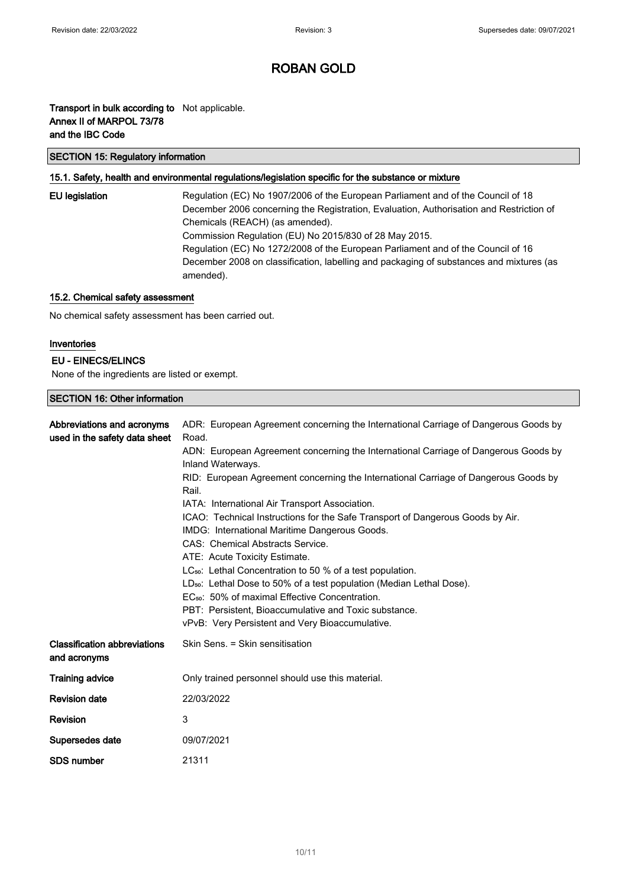## Transport in bulk according to Not applicable. Annex II of MARPOL 73/78 and the IBC Code

### SECTION 15: Regulatory information

#### 15.1. Safety, health and environmental regulations/legislation specific for the substance or mixture

| <b>EU legislatio</b> |  |  |
|----------------------|--|--|
|----------------------|--|--|

**n** Regulation (EC) No 1907/2006 of the European Parliament and of the Council of 18 December 2006 concerning the Registration, Evaluation, Authorisation and Restriction of Chemicals (REACH) (as amended). Commission Regulation (EU) No 2015/830 of 28 May 2015. Regulation (EC) No 1272/2008 of the European Parliament and of the Council of 16 December 2008 on classification, labelling and packaging of substances and mixtures (as amended).

### 15.2. Chemical safety assessment

No chemical safety assessment has been carried out.

### Inventories

### EU - EINECS/ELINCS

None of the ingredients are listed or exempt.

### SECTION 16: Other information

| Abbreviations and acronyms<br>used in the safety data sheet | ADR: European Agreement concerning the International Carriage of Dangerous Goods by<br>Road.<br>ADN: European Agreement concerning the International Carriage of Dangerous Goods by<br>Inland Waterways.<br>RID: European Agreement concerning the International Carriage of Dangerous Goods by<br>Rail.<br>IATA: International Air Transport Association.<br>ICAO: Technical Instructions for the Safe Transport of Dangerous Goods by Air.<br>IMDG: International Maritime Dangerous Goods.<br>CAS: Chemical Abstracts Service.<br>ATE: Acute Toxicity Estimate. |
|-------------------------------------------------------------|--------------------------------------------------------------------------------------------------------------------------------------------------------------------------------------------------------------------------------------------------------------------------------------------------------------------------------------------------------------------------------------------------------------------------------------------------------------------------------------------------------------------------------------------------------------------|
|                                                             | LC <sub>50</sub> : Lethal Concentration to 50 % of a test population.<br>LD <sub>50</sub> : Lethal Dose to 50% of a test population (Median Lethal Dose).<br>EC <sub>50</sub> : 50% of maximal Effective Concentration.<br>PBT: Persistent. Bioaccumulative and Toxic substance.<br>vPvB: Very Persistent and Very Bioaccumulative.                                                                                                                                                                                                                                |
| <b>Classification abbreviations</b><br>and acronyms         | Skin Sens. = Skin sensitisation                                                                                                                                                                                                                                                                                                                                                                                                                                                                                                                                    |
| <b>Training advice</b>                                      | Only trained personnel should use this material.                                                                                                                                                                                                                                                                                                                                                                                                                                                                                                                   |
| <b>Revision date</b>                                        | 22/03/2022                                                                                                                                                                                                                                                                                                                                                                                                                                                                                                                                                         |
| Revision                                                    | 3                                                                                                                                                                                                                                                                                                                                                                                                                                                                                                                                                                  |
| Supersedes date                                             | 09/07/2021                                                                                                                                                                                                                                                                                                                                                                                                                                                                                                                                                         |
| <b>SDS number</b>                                           | 21311                                                                                                                                                                                                                                                                                                                                                                                                                                                                                                                                                              |